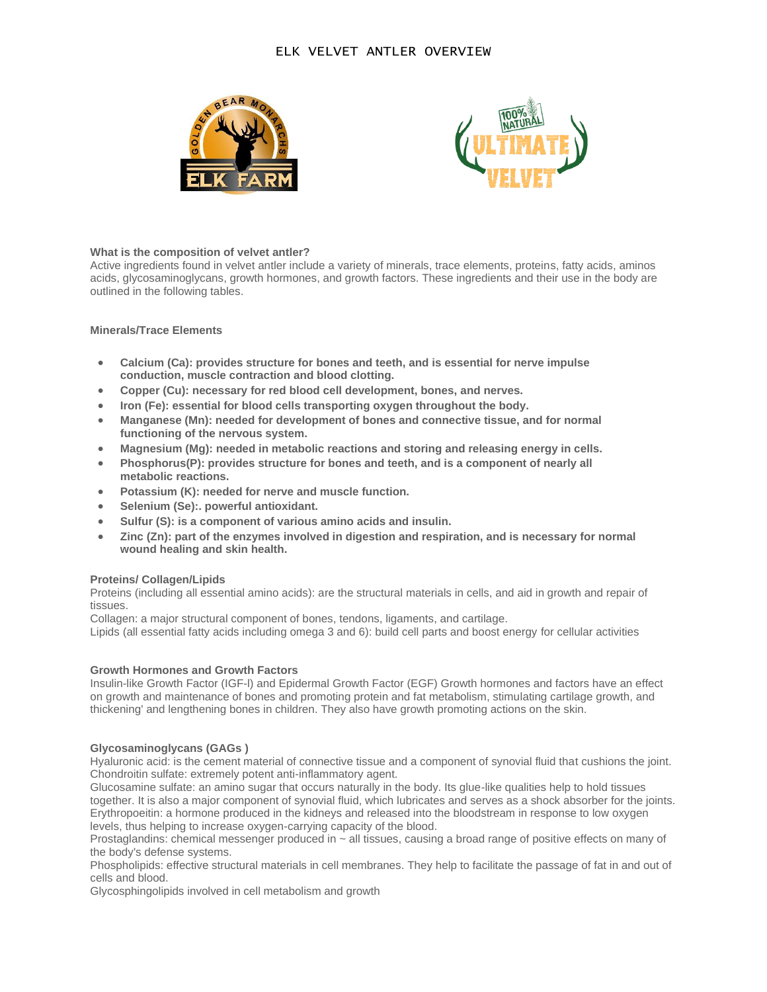# ELK VELVET ANTLER OVERVIEW





## **What is the composition of velvet antler?**

Active ingredients found in velvet antler include a variety of minerals, trace elements, proteins, fatty acids, aminos acids, glycosaminoglycans, growth hormones, and growth factors. These ingredients and their use in the body are outlined in the following tables.

### **Minerals/Trace Elements**

- **Calcium (Ca): provides structure for bones and teeth, and is essential for nerve impulse conduction, muscle contraction and blood clotting.**
- **Copper (Cu): necessary for red blood cell development, bones, and nerves.**
- **Iron (Fe): essential for blood cells transporting oxygen throughout the body.**
- **Manganese (Mn): needed for development of bones and connective tissue, and for normal functioning of the nervous system.**
- **Magnesium (Mg): needed in metabolic reactions and storing and releasing energy in cells.**
- **Phosphorus(P): provides structure for bones and teeth, and is a component of nearly all metabolic reactions.**
- **Potassium (K): needed for nerve and muscle function.**
- **Selenium (Se):. powerful antioxidant.**
- **Sulfur (S): is a component of various amino acids and insulin.**
- **Zinc (Zn): part of the enzymes involved in digestion and respiration, and is necessary for normal wound healing and skin health.**

## **Proteins/ Collagen/Lipids**

Proteins (including all essential amino acids): are the structural materials in cells, and aid in growth and repair of tissues.

Collagen: a major structural component of bones, tendons, ligaments, and cartilage.

Lipids (all essential fatty acids including omega 3 and 6): build cell parts and boost energy for cellular activities

## **Growth Hormones and Growth Factors**

Insulin-like Growth Factor (IGF-l) and Epidermal Growth Factor (EGF) Growth hormones and factors have an effect on growth and maintenance of bones and promoting protein and fat metabolism, stimulating cartilage growth, and thickening' and lengthening bones in children. They also have growth promoting actions on the skin.

## **Glycosaminoglycans (GAGs )**

Hyaluronic acid: is the cement material of connective tissue and a component of synovial fluid that cushions the joint. Chondroitin sulfate: extremely potent anti-inflammatory agent.

Glucosamine sulfate: an amino sugar that occurs naturally in the body. Its glue-like qualities help to hold tissues together. It is also a major component of synovial fluid, which lubricates and serves as a shock absorber for the joints. Erythropoeitin: a hormone produced in the kidneys and released into the bloodstream in response to low oxygen levels, thus helping to increase oxygen-carrying capacity of the blood.

Prostaglandins: chemical messenger produced in ~ all tissues, causing a broad range of positive effects on many of the body's defense systems.

Phospholipids: effective structural materials in cell membranes. They help to facilitate the passage of fat in and out of cells and blood.

Glycosphingolipids involved in cell metabolism and growth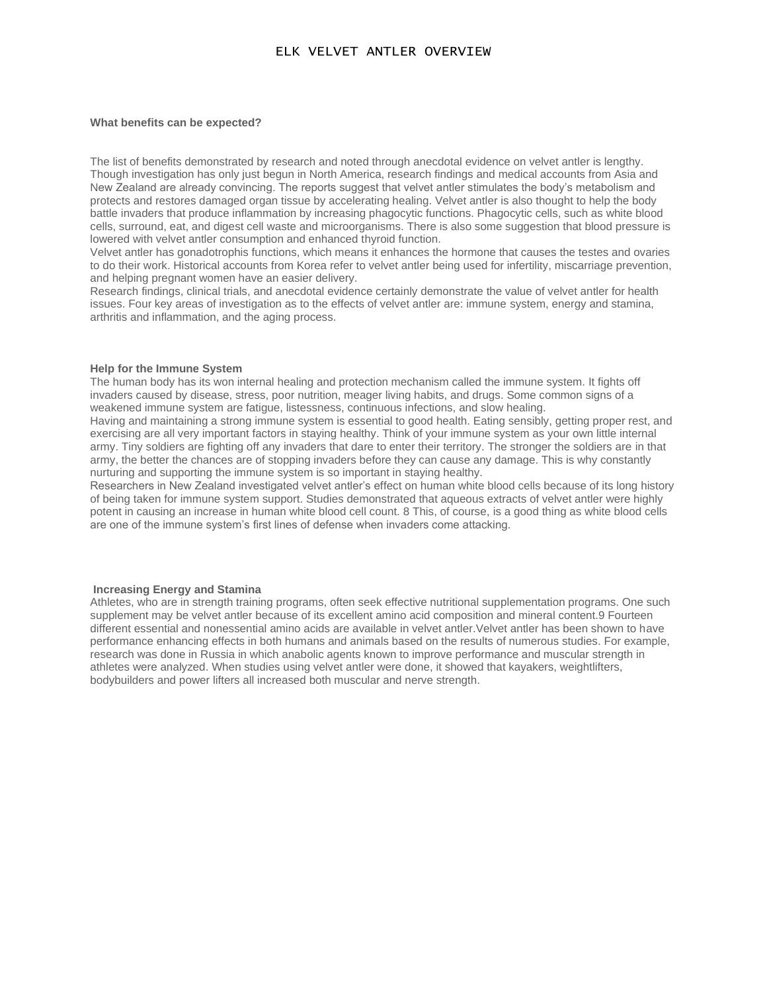## ELK VELVET ANTLER OVERVIEW

#### **What benefits can be expected?**

The list of benefits demonstrated by research and noted through anecdotal evidence on velvet antler is lengthy. Though investigation has only just begun in North America, research findings and medical accounts from Asia and New Zealand are already convincing. The reports suggest that velvet antler stimulates the body's metabolism and protects and restores damaged organ tissue by accelerating healing. Velvet antler is also thought to help the body battle invaders that produce inflammation by increasing phagocytic functions. Phagocytic cells, such as white blood cells, surround, eat, and digest cell waste and microorganisms. There is also some suggestion that blood pressure is lowered with velvet antler consumption and enhanced thyroid function.

Velvet antler has gonadotrophis functions, which means it enhances the hormone that causes the testes and ovaries to do their work. Historical accounts from Korea refer to velvet antler being used for infertility, miscarriage prevention, and helping pregnant women have an easier delivery.

Research findings, clinical trials, and anecdotal evidence certainly demonstrate the value of velvet antler for health issues. Four key areas of investigation as to the effects of velvet antler are: immune system, energy and stamina, arthritis and inflammation, and the aging process.

#### **Help for the Immune System**

The human body has its won internal healing and protection mechanism called the immune system. It fights off invaders caused by disease, stress, poor nutrition, meager living habits, and drugs. Some common signs of a weakened immune system are fatigue, listessness, continuous infections, and slow healing.

Having and maintaining a strong immune system is essential to good health. Eating sensibly, getting proper rest, and exercising are all very important factors in staying healthy. Think of your immune system as your own little internal army. Tiny soldiers are fighting off any invaders that dare to enter their territory. The stronger the soldiers are in that army, the better the chances are of stopping invaders before they can cause any damage. This is why constantly nurturing and supporting the immune system is so important in staying healthy.

Researchers in New Zealand investigated velvet antler's effect on human white blood cells because of its long history of being taken for immune system support. Studies demonstrated that aqueous extracts of velvet antler were highly potent in causing an increase in human white blood cell count. 8 This, of course, is a good thing as white blood cells are one of the immune system's first lines of defense when invaders come attacking.

#### **Increasing Energy and Stamina**

Athletes, who are in strength training programs, often seek effective nutritional supplementation programs. One such supplement may be velvet antler because of its excellent amino acid composition and mineral content.9 Fourteen different essential and nonessential amino acids are available in velvet antler.Velvet antler has been shown to have performance enhancing effects in both humans and animals based on the results of numerous studies. For example, research was done in Russia in which anabolic agents known to improve performance and muscular strength in athletes were analyzed. When studies using velvet antler were done, it showed that kayakers, weightlifters, bodybuilders and power lifters all increased both muscular and nerve strength.